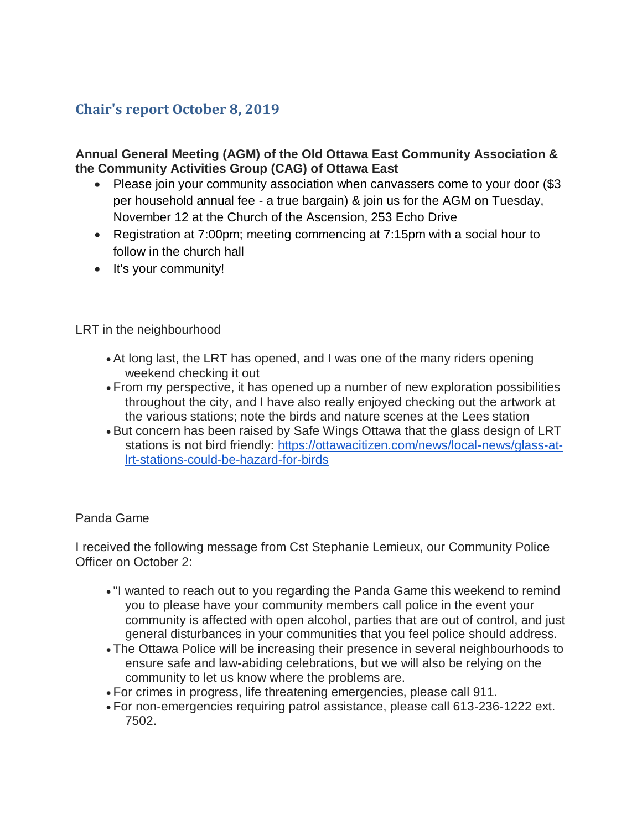# **Chair's report October 8, 2019**

## **Annual General Meeting (AGM) of the Old Ottawa East Community Association & the Community Activities Group (CAG) of Ottawa East**

- Please join your community association when canvassers come to your door (\$3 per household annual fee - a true bargain) & join us for the AGM on Tuesday, November 12 at the Church of the Ascension, 253 Echo Drive
- Registration at 7:00pm; meeting commencing at 7:15pm with a social hour to follow in the church hall
- It's your community!

LRT in the neighbourhood

- At long last, the LRT has opened, and I was one of the many riders opening weekend checking it out
- From my perspective, it has opened up a number of new exploration possibilities throughout the city, and I have also really enjoyed checking out the artwork at the various stations; note the birds and nature scenes at the Lees station
- But concern has been raised by Safe Wings Ottawa that the glass design of LRT stations is not bird friendly: [https://ottawacitizen.com/news/local-news/glass-at](https://ottawacitizen.com/news/local-news/glass-at-lrt-stations-could-be-hazard-for-birds)[lrt-stations-could-be-hazard-for-birds](https://ottawacitizen.com/news/local-news/glass-at-lrt-stations-could-be-hazard-for-birds)

#### Panda Game

I received the following message from Cst Stephanie Lemieux, our Community Police Officer on October 2:

- "I wanted to reach out to you regarding the Panda Game this weekend to remind you to please have your community members call police in the event your community is affected with open alcohol, parties that are out of control, and just general disturbances in your communities that you feel police should address.
- The Ottawa Police will be increasing their presence in several neighbourhoods to ensure safe and law-abiding celebrations, but we will also be relying on the community to let us know where the problems are.
- For crimes in progress, life threatening emergencies, please call 911.
- For non-emergencies requiring patrol assistance, please call 613-236-1222 ext. 7502.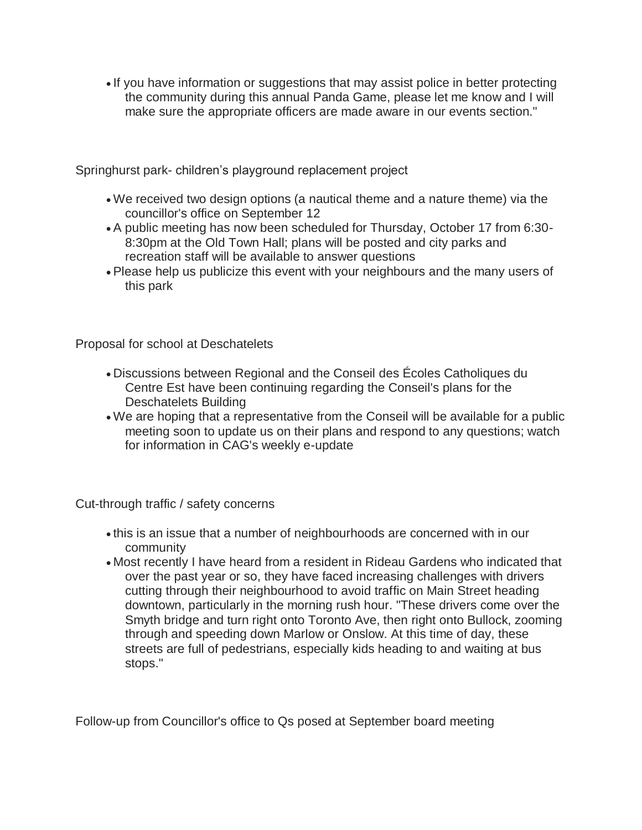If you have information or suggestions that may assist police in better protecting the community during this annual Panda Game, please let me know and I will make sure the appropriate officers are made aware in our events section."

Springhurst park- children's playground replacement project

- We received two design options (a nautical theme and a nature theme) via the councillor's office on September 12
- A public meeting has now been scheduled for Thursday, October 17 from 6:30- 8:30pm at the Old Town Hall; plans will be posted and city parks and recreation staff will be available to answer questions
- Please help us publicize this event with your neighbours and the many users of this park

Proposal for school at Deschatelets

- Discussions between Regional and the Conseil des Écoles Catholiques du Centre Est have been continuing regarding the Conseil's plans for the Deschatelets Building
- We are hoping that a representative from the Conseil will be available for a public meeting soon to update us on their plans and respond to any questions; watch for information in CAG's weekly e-update

Cut-through traffic / safety concerns

- this is an issue that a number of neighbourhoods are concerned with in our community
- Most recently I have heard from a resident in Rideau Gardens who indicated that over the past year or so, they have faced increasing challenges with drivers cutting through their neighbourhood to avoid traffic on Main Street heading downtown, particularly in the morning rush hour. "These drivers come over the Smyth bridge and turn right onto Toronto Ave, then right onto Bullock, zooming through and speeding down Marlow or Onslow. At this time of day, these streets are full of pedestrians, especially kids heading to and waiting at bus stops."

Follow-up from Councillor's office to Qs posed at September board meeting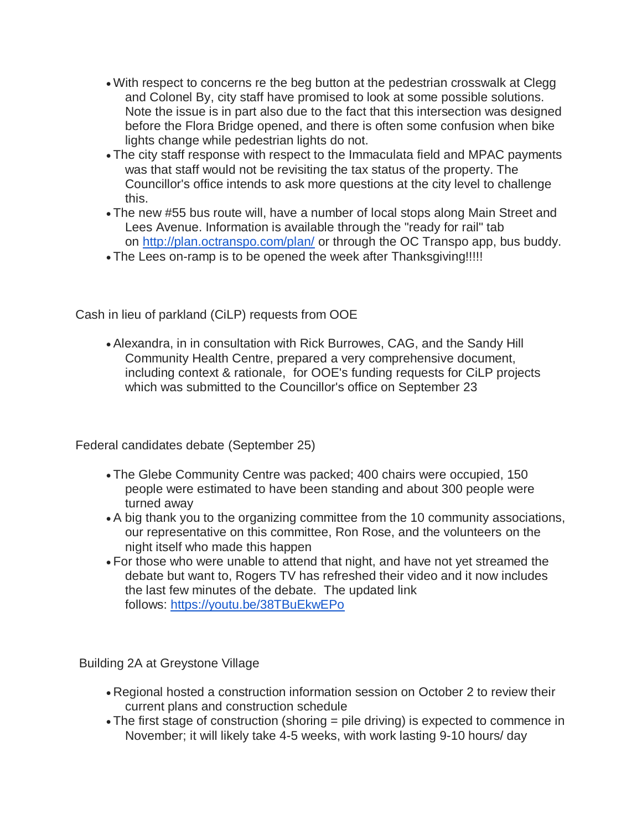- With respect to concerns re the beg button at the pedestrian crosswalk at Clegg and Colonel By, city staff have promised to look at some possible solutions. Note the issue is in part also due to the fact that this intersection was designed before the Flora Bridge opened, and there is often some confusion when bike lights change while pedestrian lights do not.
- The city staff response with respect to the Immaculata field and MPAC payments was that staff would not be revisiting the tax status of the property. The Councillor's office intends to ask more questions at the city level to challenge this.
- The new #55 bus route will, have a number of local stops along Main Street and Lees Avenue. Information is available through the "ready for rail" tab on <http://plan.octranspo.com/plan/> or through the OC Transpo app, bus buddy.
- . The Lees on-ramp is to be opened the week after Thanksgiving!!!!!

Cash in lieu of parkland (CiLP) requests from OOE

 Alexandra, in in consultation with Rick Burrowes, CAG, and the Sandy Hill Community Health Centre, prepared a very comprehensive document, including context & rationale, for OOE's funding requests for CiLP projects which was submitted to the Councillor's office on September 23

Federal candidates debate (September 25)

- The Glebe Community Centre was packed; 400 chairs were occupied, 150 people were estimated to have been standing and about 300 people were turned away
- A big thank you to the organizing committee from the 10 community associations, our representative on this committee, Ron Rose, and the volunteers on the night itself who made this happen
- For those who were unable to attend that night, and have not yet streamed the debate but want to, Rogers TV has refreshed their video and it now includes the last few minutes of the debate. The updated link follows: <https://youtu.be/38TBuEkwEPo>

Building 2A at Greystone Village

- Regional hosted a construction information session on October 2 to review their current plans and construction schedule
- The first stage of construction (shoring = pile driving) is expected to commence in November; it will likely take 4-5 weeks, with work lasting 9-10 hours/ day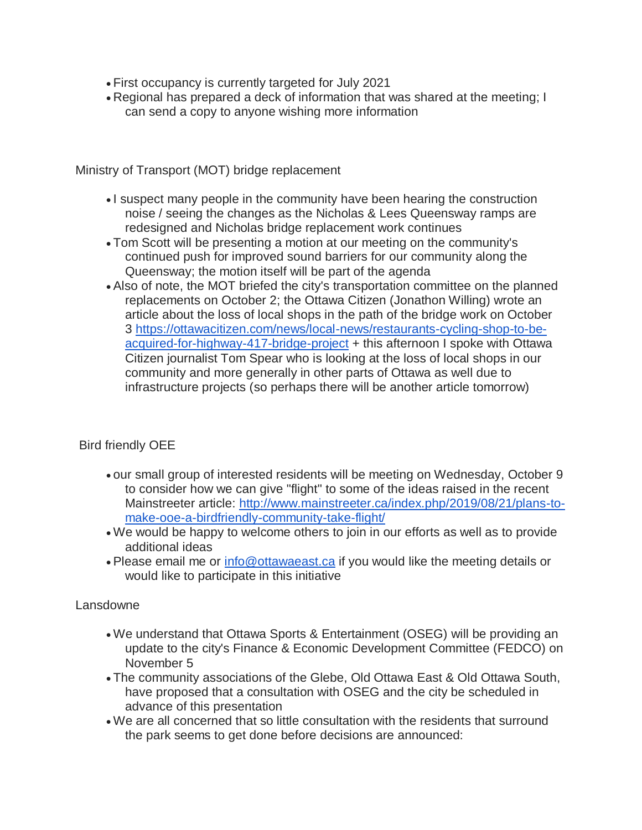- First occupancy is currently targeted for July 2021
- Regional has prepared a deck of information that was shared at the meeting; I can send a copy to anyone wishing more information

Ministry of Transport (MOT) bridge replacement

- I suspect many people in the community have been hearing the construction noise / seeing the changes as the Nicholas & Lees Queensway ramps are redesigned and Nicholas bridge replacement work continues
- Tom Scott will be presenting a motion at our meeting on the community's continued push for improved sound barriers for our community along the Queensway; the motion itself will be part of the agenda
- Also of note, the MOT briefed the city's transportation committee on the planned replacements on October 2; the Ottawa Citizen (Jonathon Willing) wrote an article about the loss of local shops in the path of the bridge work on October 3 [https://ottawacitizen.com/news/local-news/restaurants-cycling-shop-to-be](https://ottawacitizen.com/news/local-news/restaurants-cycling-shop-to-be-acquired-for-highway-417-bridge-project)[acquired-for-highway-417-bridge-project](https://ottawacitizen.com/news/local-news/restaurants-cycling-shop-to-be-acquired-for-highway-417-bridge-project) + this afternoon I spoke with Ottawa Citizen journalist Tom Spear who is looking at the loss of local shops in our community and more generally in other parts of Ottawa as well due to infrastructure projects (so perhaps there will be another article tomorrow)

## Bird friendly OEE

- our small group of interested residents will be meeting on Wednesday, October 9 to consider how we can give "flight" to some of the ideas raised in the recent Mainstreeter article: [http://www.mainstreeter.ca/index.php/2019/08/21/plans-to](http://www.mainstreeter.ca/index.php/2019/08/21/plans-to-make-ooe-a-birdfriendly-community-take-flight/)[make-ooe-a-birdfriendly-community-take-flight/](http://www.mainstreeter.ca/index.php/2019/08/21/plans-to-make-ooe-a-birdfriendly-community-take-flight/)
- We would be happy to welcome others to join in our efforts as well as to provide additional ideas
- Please email me or [info@ottawaeast.ca](mailto:info@ottawaeast.ca) if you would like the meeting details or would like to participate in this initiative

## Lansdowne

- We understand that Ottawa Sports & Entertainment (OSEG) will be providing an update to the city's Finance & Economic Development Committee (FEDCO) on November 5
- The community associations of the Glebe, Old Ottawa East & Old Ottawa South, have proposed that a consultation with OSEG and the city be scheduled in advance of this presentation
- We are all concerned that so little consultation with the residents that surround the park seems to get done before decisions are announced: